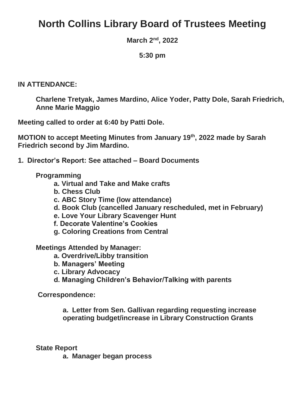# **North Collins Library Board of Trustees Meeting**

**March 2nd, 2022**

**5:30 pm**

#### **IN ATTENDANCE:**

**Charlene Tretyak, James Mardino, Alice Yoder, Patty Dole, Sarah Friedrich, Anne Marie Maggio**

**Meeting called to order at 6:40 by Patti Dole.**

**MOTION to accept Meeting Minutes from January 19th, 2022 made by Sarah Friedrich second by Jim Mardino.**

**1. Director's Report: See attached – Board Documents**

#### **Programming**

- **a. Virtual and Take and Make crafts**
- **b. Chess Club**
- **c. ABC Story Time (low attendance)**
- **d. Book Club (cancelled January rescheduled, met in February)**
- **e. Love Your Library Scavenger Hunt**
- **f. Decorate Valentine's Cookies**
- **g. Coloring Creations from Central**

**Meetings Attended by Manager:**

- **a. Overdrive/Libby transition**
- **b. Managers' Meeting**
- **c. Library Advocacy**
- **d. Managing Children's Behavior/Talking with parents**

**Correspondence:**

**a. Letter from Sen. Gallivan regarding requesting increase operating budget/increase in Library Construction Grants**

#### **State Report**

**a. Manager began process**